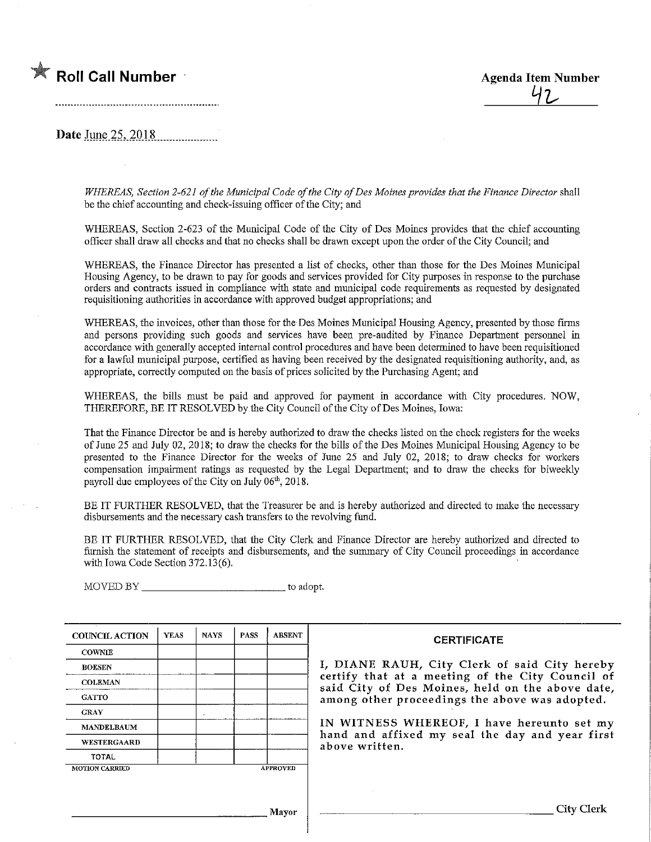

Date June  $25,2018$ 

WHEREAS, Section 2-621 of the Municipal Code of the City of Des Moines provides that the Finance Director shall be the chief accounting and check-issuing officer of the City; and

WHEREAS, Section 2-623 of the Municipal Code of the City of Des Moines provides that the chief accounting officer shall draw all checks and that no checks shall be drawn except upon the order of the City Council; and

WHEREAS, the Finance Director has presented a list of checks, other than those for the Des Moines Municipal Housing Agency, to be drawn to pay for goods and services provided for City purposes in response to the purchase orders and contracts issued in compliance with state and municipal code requh'ements as requested by designated requisitioning authorities in accordance with approved budget appropriations; and

WHEREAS, the invoices, other than those for the Des Moines Municipal Housing Agency, presented by those firms and persons providing such goods and services have been pre-audited by Fmance Department personnel in accordance with generally accepted internal control procedures and have been determined to have been requisitioned for a lawful municipal purpose, certified as having been received by the designated requisitiomng authority, and, as appropriate, correctly computed on the basis of prices solicited by the Purchasing Agent; and

WHEREAS, the bills must be paid and approved for payment in accordance with City procedures. NOW, THEREFORE, BE IT RESOLVED by the City Council of the City of Des Moines, Iowa:

That the Finance Director be and is hereby authorized to draw the checks listed on. the check registers for the weeks of June 25 and July 02, 2018; to draw the checks for the bills ofthe Des Moines Municipal Housing Agency to be presented to the Finance Director for the weeks of June 25 and July 02, 2018; to draw checks for workers compensation impairment ratings as requested by the Legal Department; and to draw the checks for biweekly payroll due employees of the City on July  $06<sup>th</sup>$ , 2018.

BE IT FURTHER RESOLVED, that the Treasurer be and is hereby authorized and directed to make the necessary disbursements and the necessary cash transfers to the revolving fund.

BE IT FURTHER RESOLVED, that the City Clerk and Finance Director are hereby authorized and directed to furnish the statement of receipts and disbursements, and the summary of City Council proceedings in accordance with Iowa Code Section 372.13(6).

MOVED BY to adopt.

| <b>COUNCIL ACTION</b> | <b>YEAS</b> | <b>NAYS</b> | <b>PASS</b> | <b>ABSENT</b>   | <b>CERTIFICATE</b>                                                                                   |
|-----------------------|-------------|-------------|-------------|-----------------|------------------------------------------------------------------------------------------------------|
| <b>COWNIE</b>         |             |             |             |                 |                                                                                                      |
| <b>BOLSEN</b>         |             |             |             |                 | I, DIANE RAUH, City Clerk of said City hereby                                                        |
| <b>COLEMAN</b>        |             |             |             |                 | certify that at a meeting of the City Council of<br>said City of Des Moines, held on the above date, |
| <b>GATTO</b>          |             |             |             |                 | among other proceedings the above was adopted.                                                       |
| <b>GRAY</b>           |             |             |             |                 |                                                                                                      |
| <b>MANDELBAUM</b>     |             |             |             |                 | IN WITNESS WHEREOF, I have hereunto set my<br>hand and affixed my seal the day and year first        |
| <b>WESTERGAARD</b>    |             |             |             |                 | above written.                                                                                       |
| <b>TOTAL</b>          |             |             |             |                 |                                                                                                      |
| <b>MOTION CARRIED</b> |             |             |             | <b>APPROVED</b> |                                                                                                      |
|                       |             |             |             |                 |                                                                                                      |
|                       |             |             |             | <b>Mayor</b>    | City Clerk                                                                                           |
|                       |             |             |             |                 |                                                                                                      |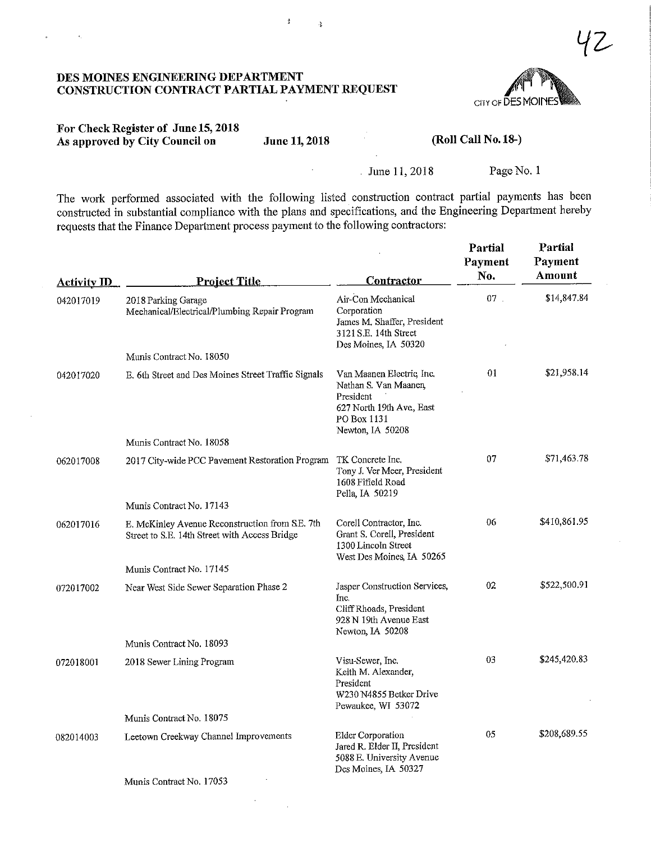

#### For Check Register of June 15,2018 As approved by City Council on June 11, 2018 (Roll Call No. 18-)

 $\lambda$ 

 $\frac{1}{2}$ 

June 11, 2018 Page No. 1

The work performed associated with the following listed construction contract partial payments has been constructed in substantial compliance with the plans and specifications, and the Engineering Department hereby requests that the Finance Department process payment to the following contractors:

| <b>Activity ID</b> | <b>Project Title</b>                                                                             | <b>Contractor</b>                                                                                                              | Partial<br>Payment<br>No. | Partial<br>Payment<br>Amount |
|--------------------|--------------------------------------------------------------------------------------------------|--------------------------------------------------------------------------------------------------------------------------------|---------------------------|------------------------------|
| 042017019          | 2018 Parking Garage<br>Mechanical/Electrical/Plumbing Repair Program                             | Air-Con Mechanical<br>Corporation<br>James M. Shaffer, President<br>3121 S.E. 14th Street<br>Des Moines, IA 50320              | $07$ .                    | \$14,847.84                  |
|                    | Munis Contract No. 18050                                                                         |                                                                                                                                |                           |                              |
| 042017020          | E, 6th Street and Des Moines Street Traffic Signals                                              | Van Maanen Electric, Inc.<br>Nathan S. Van Maanen,<br>President<br>627 North 19th Ave, East<br>PO Box 1131<br>Newton, IA 50208 | 01                        | \$21,958.14                  |
|                    | Munis Contract No. 18058                                                                         |                                                                                                                                |                           |                              |
| 062017008          | 2017 City-wide PCC Pavement Restoration Program TK Concrete Inc.                                 | Tony J. Ver Meer, President<br>1608 Fifield Road<br>Pella, IA 50219                                                            | 07                        | \$71,463.78                  |
|                    | Munis Contract No. 17143                                                                         |                                                                                                                                |                           |                              |
| 062017016          | E. McKinley Avenue Reconstruction from S.E. 7th<br>Street to S.E. 14th Street with Access Bridge | Corell Contractor, Inc.<br>Grant S. Corell, President<br>1300 Lincoln Street<br>West Des Moines, IA 50265                      | 06                        | \$410,861.95                 |
|                    | Munis Contract No. 17145                                                                         |                                                                                                                                |                           |                              |
| 072017002          | Near West Side Sewer Separation Phase 2                                                          | Jasper Construction Services,<br>Inc.<br>Cliff Rhoads, President<br>928 N 19th Avenue East<br>Newton, IA 50208                 | 02                        | \$522,500.91                 |
|                    | Munis Contract No. 18093                                                                         |                                                                                                                                |                           |                              |
| 072018001          | 2018 Sewer Lining Program                                                                        | Visu-Sewer, Inc.<br>Keith M. Alexander,<br>President<br>W230 N4855 Betker Drive<br>Pewaukee, WI 53072                          | 03                        | \$245,420.83                 |
|                    | Munis Contract No. 18075                                                                         |                                                                                                                                |                           |                              |
| 082014003          | Leetown Creekway Channel Improvements                                                            | <b>Elder Corporation</b><br>Jared R. Elder II, President<br>5088 E. University Avenue<br>Des Moines, IA 50327                  | 05                        | \$208,689.55                 |
|                    | Munis Contract No. 17053                                                                         |                                                                                                                                |                           |                              |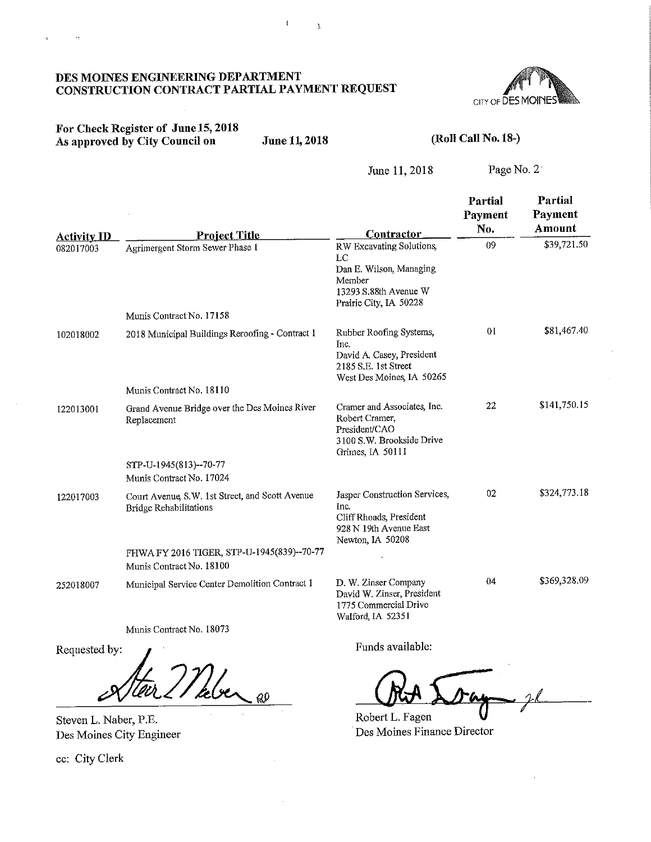

## or Check Register of June 15, 2018 As approved by City Council on June 11, 2018 (ROLL CALL NO. 18-)

 $\langle \sigma_3 \rangle$ 

 $\mathbf{r}_\mathrm{B}$ 

June 11, 2018 Page No. 2

|                                 |                                                                                  | <b>Contractor</b>                                                                                                           | Partial<br>Payment<br>No. | Partial<br>Payment<br>Amount |
|---------------------------------|----------------------------------------------------------------------------------|-----------------------------------------------------------------------------------------------------------------------------|---------------------------|------------------------------|
| <b>Activity ID</b><br>082017003 | <u>Project Title</u><br>Agrimergent Storm Sewer Phase 1                          | RW Excavating Solutions,<br>$_{LC}$<br>Dan E. Wilson, Managing<br>Member<br>13293 S.88th Avenue W<br>Prairie City, IA 50228 | 09                        | \$39,721.50                  |
|                                 | Munis Contract No. 17158                                                         |                                                                                                                             |                           |                              |
| 102018002                       | 2018 Municipal Buildings Reroofing - Contract 1                                  | Rubber Roofing Systems,<br>Inc.<br>David A. Casey, President<br>2185 S.E. 1st Street<br>West Des Moines, IA 50265           | 0 <sup>1</sup>            | \$81,467.40                  |
|                                 | Munis Contract No. 18110                                                         |                                                                                                                             |                           |                              |
| 122013001                       | Grand Avenue Bridge over the Des Moines River<br>Replacement                     | Cramer and Associates, Inc.<br>Robert Cramer,<br>President/CAO<br>3100 S.W. Brookside Drive<br>Grimes, IA 50111             | 22                        | \$141,750.15                 |
|                                 | STP-U-1945(813)--70-77                                                           |                                                                                                                             |                           |                              |
|                                 | Munis Contract No. 17024                                                         |                                                                                                                             |                           |                              |
| 122017003                       | Court Avenue, S.W. 1st Street, and Scott Avenue<br><b>Bridge Rehabilitations</b> | Jasper Construction Services,<br>Inc.<br>Cliff Rhoads, President<br>928 N 19th Avenue East<br>Newton, IA 50208              | 02                        | \$324,773.18                 |
|                                 | FHWA FY 2016 TIGER, STP-U-1945(839)--70-77<br>Munis Contract No. 18100           |                                                                                                                             |                           |                              |
| 252018007                       | Municipal Service Center Demolition Contract 1                                   | D. W. Zinser Company<br>David W. Zinser, President<br>1775 Commercial Drive<br>Walford, IA 52351                            | 04                        | \$369,328.09                 |
|                                 | Munis Contract No. 18073                                                         |                                                                                                                             |                           |                              |

Requested by:

Meber @ Tur e

Steven L. Naber, P.E. Des Moines City Engineer

ec: City Clerk

Funds available:

Robert L. Fagen

Des Moines Finance Director

 $\mathbf{r}$ 

 $\bar{1}$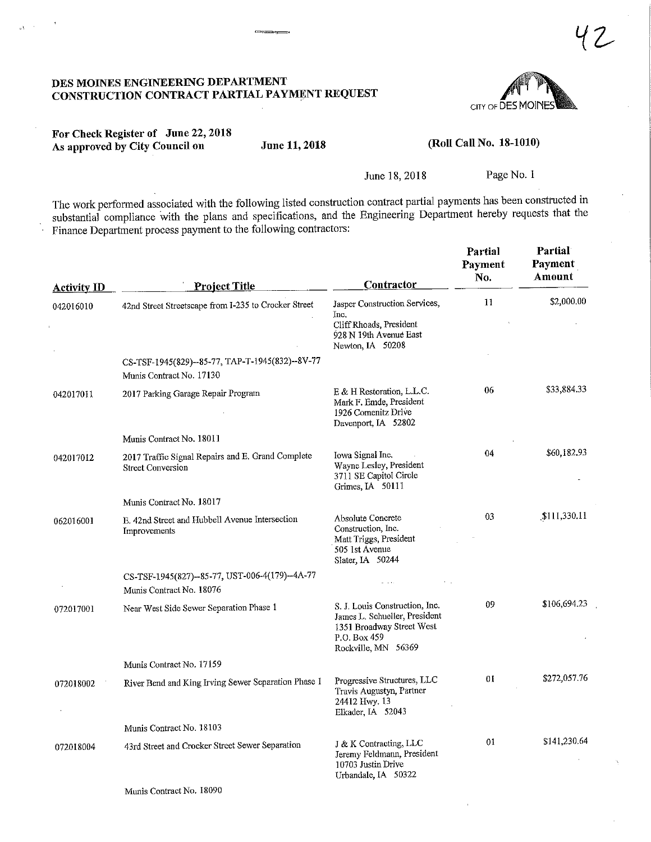

## For Check Register of June 22,2018 As approved by City Council on June 11, 2018

 $\mathcal{A}^{\pm}$ 

(Roll Call No. 18-1010)

June 18,2018 Page No. 1

The work performed associated with the following listed construction contract partial payments has been constructed in substantial compliance with the plans and specifications, and the Engineering Department hereby requests that the Finance Department process payment to the following contractors;

| <b>Activity ID</b> | Project Title                                                                 | Contractor                                                                                                                          | Partial<br>Payment<br>No. | Partial<br>Payment<br>Amount |
|--------------------|-------------------------------------------------------------------------------|-------------------------------------------------------------------------------------------------------------------------------------|---------------------------|------------------------------|
| 042016010          | 42nd Street Streetscape from I-235 to Crocker Street                          | Jasper Construction Services,<br>Inc.<br>Cliff Rhoads, President<br>928 N 19th Avenue East<br>Newton, IA 50208                      | $\mathbf{11}$             | \$2,000.00                   |
|                    | CS-TSF-1945(829)--85-77, TAP-T-1945(832)--8V-77<br>Munis Contract No. 17130   |                                                                                                                                     |                           |                              |
| 042017011          | 2017 Parking Garage Repair Program                                            | $E \& H$ Restoration, L.L.C.<br>Mark F. Emde, President<br>1926 Comenitz Drive<br>Davenport, IA 52802                               | 06                        | \$33,884.33                  |
|                    | Munis Contract No. 18011                                                      |                                                                                                                                     |                           |                              |
| 042017012          | 2017 Traffic Signal Repairs and E. Grand Complete<br><b>Street Conversion</b> | Iowa Signal Inc.<br>Wayne Lesley, President<br>3711 SE Capitol Circle<br>Grimes, IA 50111                                           | 04                        | \$60,182.93                  |
|                    | Munis Contract No. 18017                                                      |                                                                                                                                     |                           |                              |
| 062016001          | E. 42nd Street and Hubbell Avenue Intersection<br>Improvements                | Absolute Concrete<br>Construction, Inc.<br>Matt Triggs, President<br>505 1st Avenue<br>Slater, IA 50244                             | 0 <sub>3</sub>            | \$111,330.11                 |
|                    | CS-TSF-1945(827)--85-77, UST-006-4(179)--4A-77<br>Munis Contract No. 18076    |                                                                                                                                     |                           |                              |
| 072017001          | Near West Side Sewer Separation Phase 1                                       | S. J. Louis Construction, Inc.<br>James L. Schueller, President<br>1351 Broadway Street West<br>P.O. Box 459<br>Rockville, MN 56369 | 09                        | \$106,694.23                 |
|                    | Munis Contract No. 17159                                                      |                                                                                                                                     |                           |                              |
| 072018002          | River Bend and King Irving Sewer Separation Phase 1                           | Progressive Structures, LLC<br>Travis Augustyn, Partner<br>24412 Hwy. 13<br>Elkader, IA 52043                                       | 01                        | \$272,057.76                 |
|                    | Munis Contract No. 18103                                                      |                                                                                                                                     |                           |                              |
| 072018004          | 43rd Street and Crocker Street Sewer Separation                               | J & K Contracting, LLC<br>Jeremy Feldmann, President<br>10703 Justin Drive<br>Urbandale IA 50322                                    | 01                        | \$141,230.64                 |
|                    | Munis Contract No. 18090                                                      |                                                                                                                                     |                           |                              |